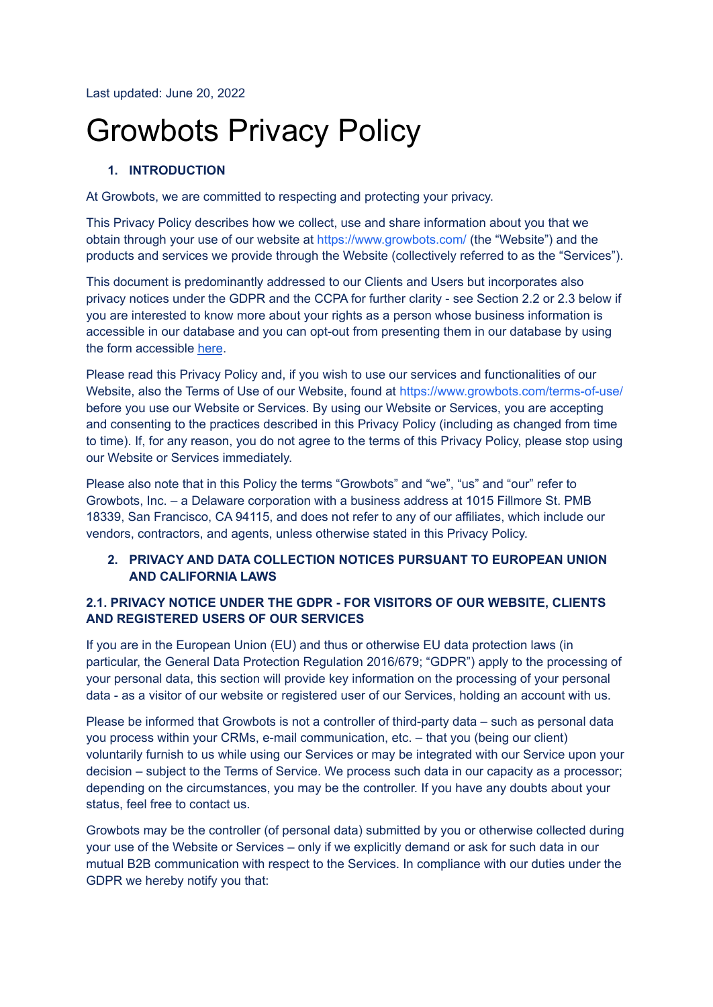Last updated: June 20, 2022

# Growbots Privacy Policy

# **1. INTRODUCTION**

At Growbots, we are committed to respecting and protecting your privacy.

This Privacy Policy describes how we collect, use and share information about you that we obtain through your use of our website at <https://www.growbots.com/> (the "Website") and the products and services we provide through the Website (collectively referred to as the "Services").

This document is predominantly addressed to our Clients and Users but incorporates also privacy notices under the GDPR and the CCPA for further clarity - see Section 2.2 or 2.3 below if you are interested to know more about your rights as a person whose business information is accessible in our database and you can opt-out from presenting them in our database by using the form accessible [here](https://www.growbots.com/do-not-sell-my-info/).

Please read this Privacy Policy and, if you wish to use our services and functionalities of our Website, also the Terms of Use of our Website, found at <https://www.growbots.com/terms-of-use/> before you use our Website or Services. By using our Website or Services, you are accepting and consenting to the practices described in this Privacy Policy (including as changed from time to time). If, for any reason, you do not agree to the terms of this Privacy Policy, please stop using our Website or Services immediately.

Please also note that in this Policy the terms "Growbots" and "we", "us" and "our" refer to Growbots, Inc. – a Delaware corporation with a business address at 1015 Fillmore St. PMB 18339, San Francisco, CA 94115, and does not refer to any of our affiliates, which include our vendors, contractors, and agents, unless otherwise stated in this Privacy Policy.

# **2. PRIVACY AND DATA COLLECTION NOTICES PURSUANT TO EUROPEAN UNION AND CALIFORNIA LAWS**

# **2.1. PRIVACY NOTICE UNDER THE GDPR - FOR VISITORS OF OUR WEBSITE, CLIENTS AND REGISTERED USERS OF OUR SERVICES**

If you are in the European Union (EU) and thus or otherwise EU data protection laws (in particular, the General Data Protection Regulation 2016/679; "GDPR") apply to the processing of your personal data, this section will provide key information on the processing of your personal data - as a visitor of our website or registered user of our Services, holding an account with us.

Please be informed that Growbots is not a controller of third-party data – such as personal data you process within your CRMs, e-mail communication, etc. – that you (being our client) voluntarily furnish to us while using our Services or may be integrated with our Service upon your decision – subject to the Terms of Service. We process such data in our capacity as a processor; depending on the circumstances, you may be the controller. If you have any doubts about your status, feel free to contact us.

Growbots may be the controller (of personal data) submitted by you or otherwise collected during your use of the Website or Services – only if we explicitly demand or ask for such data in our mutual B2B communication with respect to the Services. In compliance with our duties under the GDPR we hereby notify you that: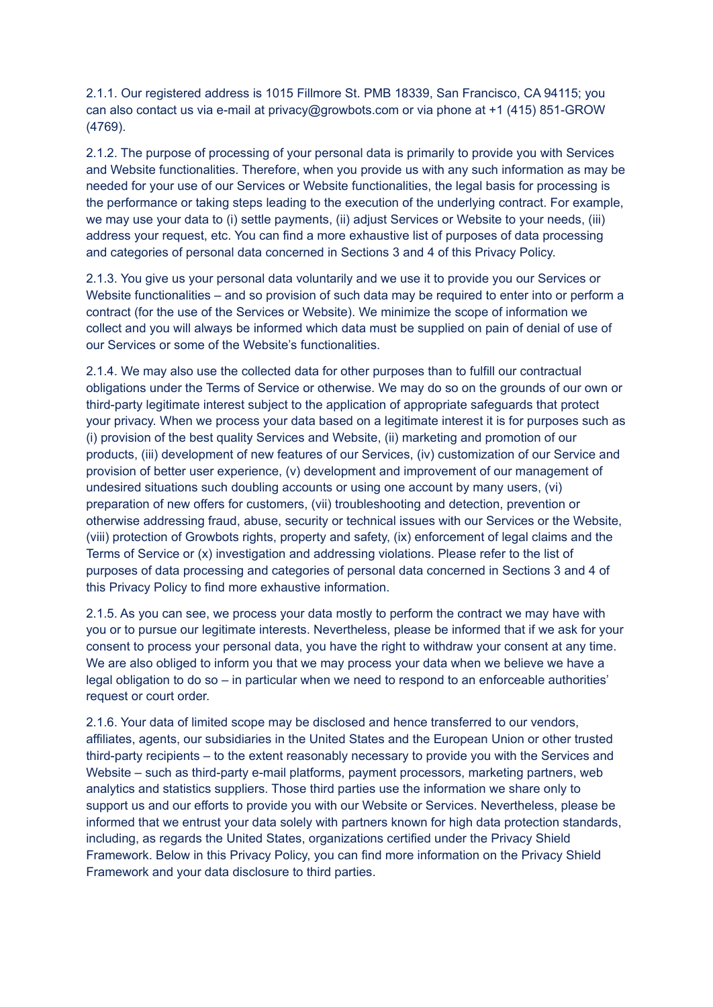2.1.1. Our registered address is 1015 Fillmore St. PMB 18339, San Francisco, CA 94115; you can also contact us via e-mail at privacy@growbots.com or via phone at +1 (415) 851-GROW (4769).

2.1.2. The purpose of processing of your personal data is primarily to provide you with Services and Website functionalities. Therefore, when you provide us with any such information as may be needed for your use of our Services or Website functionalities, the legal basis for processing is the performance or taking steps leading to the execution of the underlying contract. For example, we may use your data to (i) settle payments, (ii) adjust Services or Website to your needs, (iii) address your request, etc. You can find a more exhaustive list of purposes of data processing and categories of personal data concerned in Sections 3 and 4 of this Privacy Policy.

2.1.3. You give us your personal data voluntarily and we use it to provide you our Services or Website functionalities – and so provision of such data may be required to enter into or perform a contract (for the use of the Services or Website). We minimize the scope of information we collect and you will always be informed which data must be supplied on pain of denial of use of our Services or some of the Website's functionalities.

2.1.4. We may also use the collected data for other purposes than to fulfill our contractual obligations under the Terms of Service or otherwise. We may do so on the grounds of our own or third-party legitimate interest subject to the application of appropriate safeguards that protect your privacy. When we process your data based on a legitimate interest it is for purposes such as (i) provision of the best quality Services and Website, (ii) marketing and promotion of our products, (iii) development of new features of our Services, (iv) customization of our Service and provision of better user experience, (v) development and improvement of our management of undesired situations such doubling accounts or using one account by many users, (vi) preparation of new offers for customers, (vii) troubleshooting and detection, prevention or otherwise addressing fraud, abuse, security or technical issues with our Services or the Website, (viii) protection of Growbots rights, property and safety, (ix) enforcement of legal claims and the Terms of Service or (x) investigation and addressing violations. Please refer to the list of purposes of data processing and categories of personal data concerned in Sections 3 and 4 of this Privacy Policy to find more exhaustive information.

2.1.5. As you can see, we process your data mostly to perform the contract we may have with you or to pursue our legitimate interests. Nevertheless, please be informed that if we ask for your consent to process your personal data, you have the right to withdraw your consent at any time. We are also obliged to inform you that we may process your data when we believe we have a legal obligation to do so – in particular when we need to respond to an enforceable authorities' request or court order.

2.1.6. Your data of limited scope may be disclosed and hence transferred to our vendors, affiliates, agents, our subsidiaries in the United States and the European Union or other trusted third-party recipients – to the extent reasonably necessary to provide you with the Services and Website – such as third-party e-mail platforms, payment processors, marketing partners, web analytics and statistics suppliers. Those third parties use the information we share only to support us and our efforts to provide you with our Website or Services. Nevertheless, please be informed that we entrust your data solely with partners known for high data protection standards, including, as regards the United States, organizations certified under the Privacy Shield Framework. Below in this Privacy Policy, you can find more information on the Privacy Shield Framework and your data disclosure to third parties.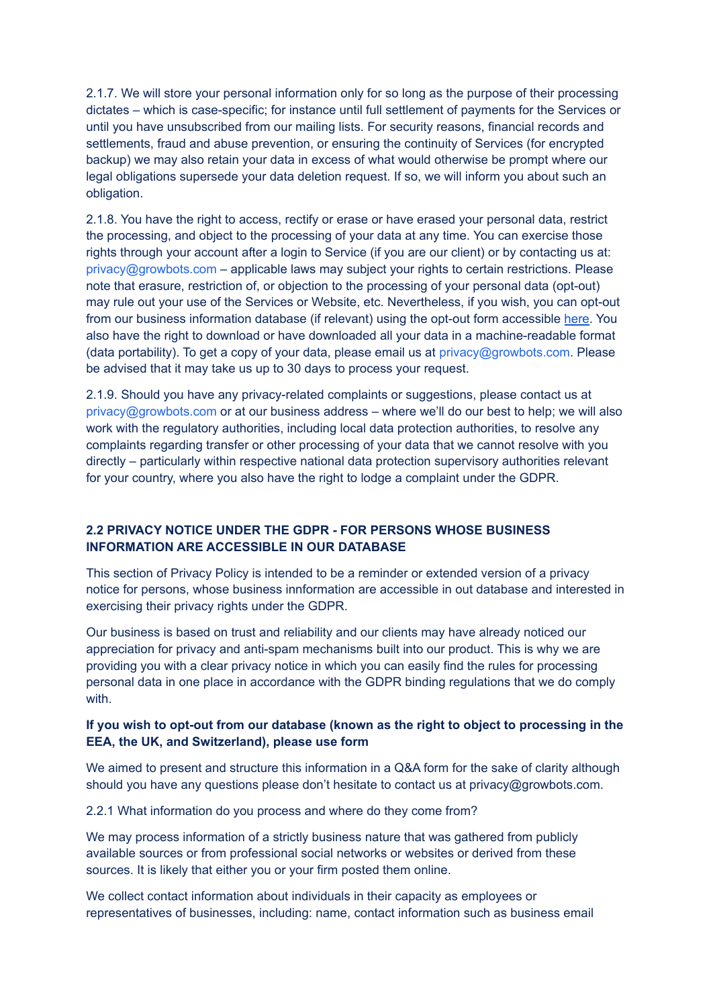2.1.7. We will store your personal information only for so long as the purpose of their processing dictates – which is case-specific; for instance until full settlement of payments for the Services or until you have unsubscribed from our mailing lists. For security reasons, financial records and settlements, fraud and abuse prevention, or ensuring the continuity of Services (for encrypted backup) we may also retain your data in excess of what would otherwise be prompt where our legal obligations supersede your data deletion request. If so, we will inform you about such an obligation.

2.1.8. You have the right to access, rectify or erase or have erased your personal data, restrict the processing, and object to the processing of your data at any time. You can exercise those rights through your account after a login to Service (if you are our client) or by contacting us at: privacy@growbots.com – applicable laws may subject your rights to certain restrictions. Please note that erasure, restriction of, or objection to the processing of your personal data (opt-out) may rule out your use of the Services or Website, etc. Nevertheless, if you wish, you can opt-out from our business information database (if relevant) using the opt-out form accessible [here.](https://www.growbots.com/do-not-sell-my-info/) You also have the right to download or have downloaded all your data in a machine-readable format (data portability). To get a copy of your data, please email us at privacy@growbots.com. Please be advised that it may take us up to 30 days to process your request.

2.1.9. Should you have any privacy-related complaints or suggestions, please contact us at privacy@growbots.com or at our business address – where we'll do our best to help; we will also work with the regulatory authorities, including local data protection authorities, to resolve any complaints regarding transfer or other processing of your data that we cannot resolve with you directly – particularly within respective national data protection supervisory authorities relevant for your country, where you also have the right to lodge a complaint under the GDPR.

# **2.2 PRIVACY NOTICE UNDER THE GDPR - FOR PERSONS WHOSE BUSINESS INFORMATION ARE ACCESSIBLE IN OUR DATABASE**

This section of Privacy Policy is intended to be a reminder or extended version of a privacy notice for persons, whose business innformation are accessible in out database and interested in exercising their privacy rights under the GDPR.

Our business is based on trust and reliability and our clients may have already noticed our appreciation for privacy and anti-spam mechanisms built into our product. This is why we are providing you with a clear privacy notice in which you can easily find the rules for processing personal data in one place in accordance with the GDPR binding regulations that we do comply with.

# **If you wish to opt-out from our database (known as the right to object to processing in the EEA, the UK, and Switzerland), please use form**

We aimed to present and structure this information in a Q&A form for the sake of clarity although should you have any questions please don't hesitate to contact us at privacy@growbots.com.

2.2.1 What information do you process and where do they come from?

We may process information of a strictly business nature that was gathered from publicly available sources or from professional social networks or websites or derived from these sources. It is likely that either you or your firm posted them online.

We collect contact information about individuals in their capacity as employees or representatives of businesses, including: name, contact information such as business email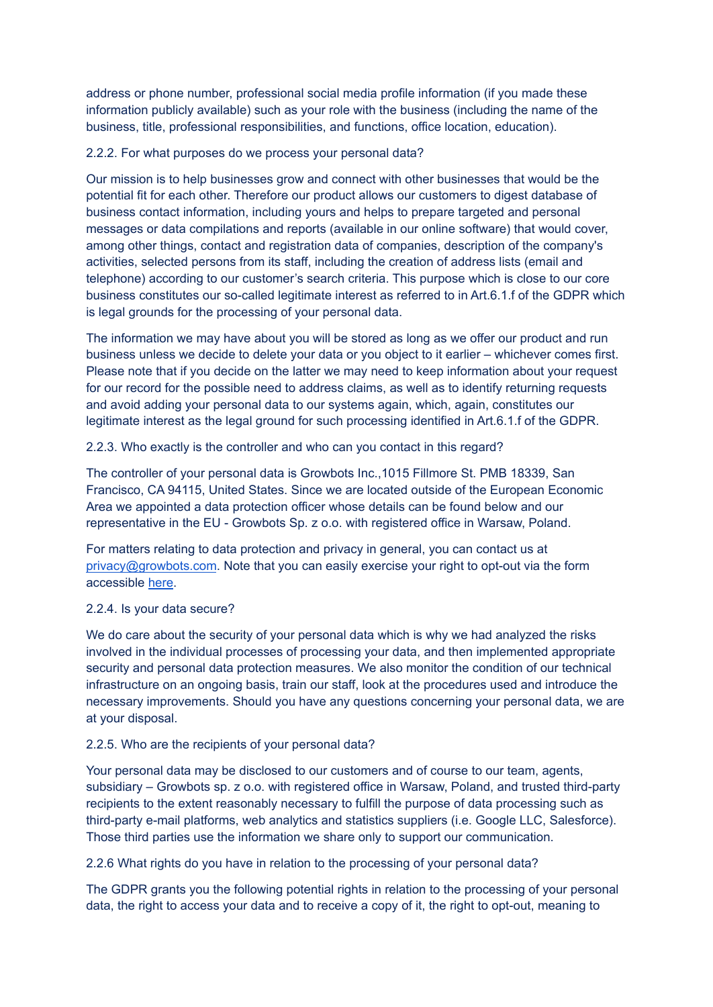address or phone number, professional social media profile information (if you made these information publicly available) such as your role with the business (including the name of the business, title, professional responsibilities, and functions, office location, education).

#### 2.2.2. For what purposes do we process your personal data?

Our mission is to help businesses grow and connect with other businesses that would be the potential fit for each other. Therefore our product allows our customers to digest database of business contact information, including yours and helps to prepare targeted and personal messages or data compilations and reports (available in our online software) that would cover, among other things, contact and registration data of companies, description of the company's activities, selected persons from its staff, including the creation of address lists (email and telephone) according to our customer's search criteria. This purpose which is close to our core business constitutes our so-called legitimate interest as referred to in Art.6.1.f of the GDPR which is legal grounds for the processing of your personal data.

The information we may have about you will be stored as long as we offer our product and run business unless we decide to delete your data or you object to it earlier – whichever comes first. Please note that if you decide on the latter we may need to keep information about your request for our record for the possible need to address claims, as well as to identify returning requests and avoid adding your personal data to our systems again, which, again, constitutes our legitimate interest as the legal ground for such processing identified in Art.6.1.f of the GDPR.

2.2.3. Who exactly is the controller and who can you contact in this regard?

The controller of your personal data is Growbots Inc.,1015 Fillmore St. PMB 18339, San Francisco, CA 94115, United States. Since we are located outside of the European Economic Area we appointed a data protection officer whose details can be found below and our representative in the EU - Growbots Sp. z o.o. with registered office in Warsaw, Poland.

For matters relating to data protection and privacy in general, you can contact us at [privacy@growbots.com](mailto:privacy@growbots.com). Note that you can easily exercise your right to opt-out via the form accessible [here.](https://www.growbots.com/do-not-sell-my-info/)

# 2.2.4. Is your data secure?

We do care about the security of your personal data which is why we had analyzed the risks involved in the individual processes of processing your data, and then implemented appropriate security and personal data protection measures. We also monitor the condition of our technical infrastructure on an ongoing basis, train our staff, look at the procedures used and introduce the necessary improvements. Should you have any questions concerning your personal data, we are at your disposal.

#### 2.2.5. Who are the recipients of your personal data?

Your personal data may be disclosed to our customers and of course to our team, agents, subsidiary – Growbots sp. z o.o. with registered office in Warsaw, Poland, and trusted third-party recipients to the extent reasonably necessary to fulfill the purpose of data processing such as third-party e-mail platforms, web analytics and statistics suppliers (i.e. Google LLC, Salesforce). Those third parties use the information we share only to support our communication.

2.2.6 What rights do you have in relation to the processing of your personal data?

The GDPR grants you the following potential rights in relation to the processing of your personal data, the right to access your data and to receive a copy of it, the right to opt-out, meaning to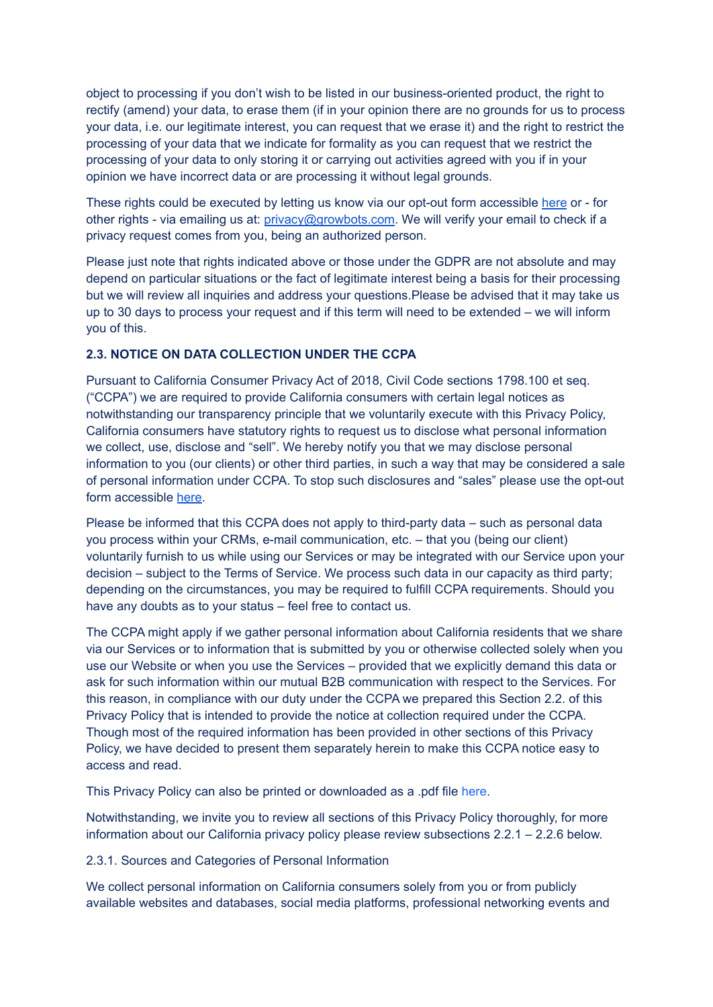object to processing if you don't wish to be listed in our business-oriented product, the right to rectify (amend) your data, to erase them (if in your opinion there are no grounds for us to process your data, i.e. our legitimate interest, you can request that we erase it) and the right to restrict the processing of your data that we indicate for formality as you can request that we restrict the processing of your data to only storing it or carrying out activities agreed with you if in your opinion we have incorrect data or are processing it without legal grounds.

These rights could be executed by letting us know via our opt-out form accessible [here](https://www.growbots.com/do-not-sell-my-info/) or - for other rights - via emailing us at: [privacy@growbots.com](mailto:privacy@growbots.com). We will verify your email to check if a privacy request comes from you, being an authorized person.

Please just note that rights indicated above or those under the GDPR are not absolute and may depend on particular situations or the fact of legitimate interest being a basis for their processing but we will review all inquiries and address your questions.Please be advised that it may take us up to 30 days to process your request and if this term will need to be extended – we will inform you of this.

# **2.3. NOTICE ON DATA COLLECTION UNDER THE CCPA**

Pursuant to California Consumer Privacy Act of 2018, Civil Code sections 1798.100 et seq. ("CCPA") we are required to provide California consumers with certain legal notices as notwithstanding our transparency principle that we voluntarily execute with this Privacy Policy, California consumers have statutory rights to request us to disclose what personal information we collect, use, disclose and "sell". We hereby notify you that we may disclose personal information to you (our clients) or other third parties, in such a way that may be considered a sale of personal information under CCPA. To stop such disclosures and "sales" please use the opt-out form accessible [here.](https://www.growbots.com/do-not-sell-my-info/)

Please be informed that this CCPA does not apply to third-party data – such as personal data you process within your CRMs, e-mail communication, etc. – that you (being our client) voluntarily furnish to us while using our Services or may be integrated with our Service upon your decision – subject to the Terms of Service. We process such data in our capacity as third party; depending on the circumstances, you may be required to fulfill CCPA requirements. Should you have any doubts as to your status – feel free to contact us.

The CCPA might apply if we gather personal information about California residents that we share via our Services or to information that is submitted by you or otherwise collected solely when you use our Website or when you use the Services – provided that we explicitly demand this data or ask for such information within our mutual B2B communication with respect to the Services. For this reason, in compliance with our duty under the CCPA we prepared this Section 2.2. of this Privacy Policy that is intended to provide the notice at collection required under the CCPA. Though most of the required information has been provided in other sections of this Privacy Policy, we have decided to present them separately herein to make this CCPA notice easy to access and read.

This Privacy Policy can also be printed or downloaded as a .pdf file [here](https://www.growbots.com/PP.pdf).

Notwithstanding, we invite you to review all sections of this Privacy Policy thoroughly, for more information about our California privacy policy please review subsections 2.2.1 – 2.2.6 below.

2.3.1. Sources and Categories of Personal Information

We collect personal information on California consumers solely from you or from publicly available websites and databases, social media platforms, professional networking events and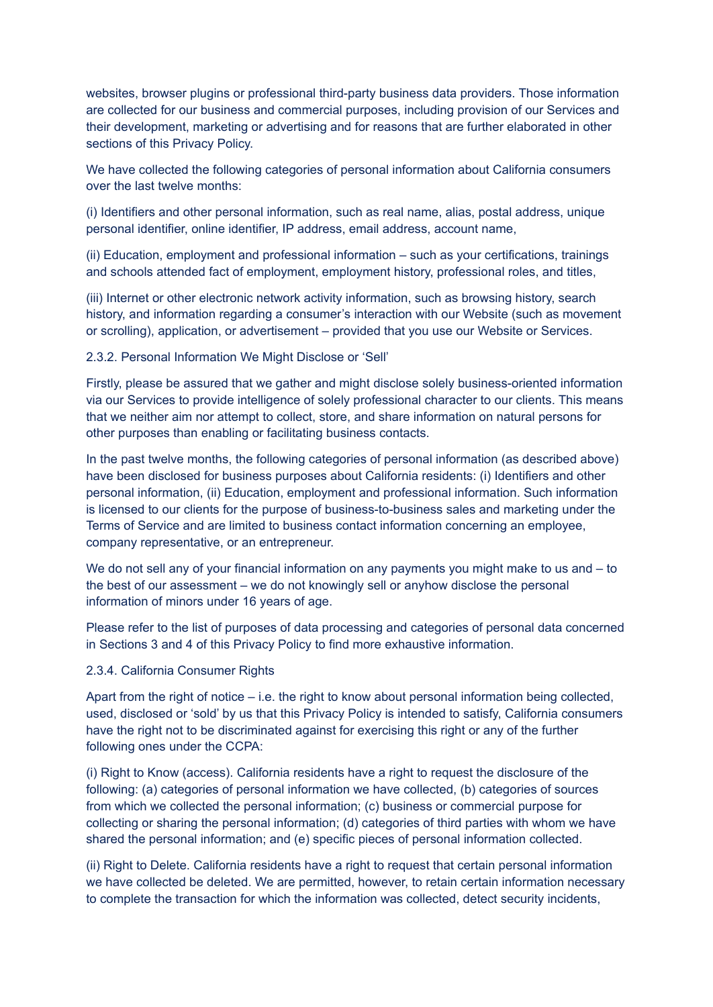websites, browser plugins or professional third-party business data providers. Those information are collected for our business and commercial purposes, including provision of our Services and their development, marketing or advertising and for reasons that are further elaborated in other sections of this Privacy Policy.

We have collected the following categories of personal information about California consumers over the last twelve months:

(i) Identifiers and other personal information, such as real name, alias, postal address, unique personal identifier, online identifier, IP address, email address, account name,

(ii) Education, employment and professional information – such as your certifications, trainings and schools attended fact of employment, employment history, professional roles, and titles,

(iii) Internet or other electronic network activity information, such as browsing history, search history, and information regarding a consumer's interaction with our Website (such as movement or scrolling), application, or advertisement – provided that you use our Website or Services.

2.3.2. Personal Information We Might Disclose or 'Sell'

Firstly, please be assured that we gather and might disclose solely business-oriented information via our Services to provide intelligence of solely professional character to our clients. This means that we neither aim nor attempt to collect, store, and share information on natural persons for other purposes than enabling or facilitating business contacts.

In the past twelve months, the following categories of personal information (as described above) have been disclosed for business purposes about California residents: (i) Identifiers and other personal information, (ii) Education, employment and professional information. Such information is licensed to our clients for the purpose of business-to-business sales and marketing under the Terms of Service and are limited to business contact information concerning an employee, company representative, or an entrepreneur.

We do not sell any of your financial information on any payments you might make to us and – to the best of our assessment – we do not knowingly sell or anyhow disclose the personal information of minors under 16 years of age.

Please refer to the list of purposes of data processing and categories of personal data concerned in Sections 3 and 4 of this Privacy Policy to find more exhaustive information.

#### 2.3.4. California Consumer Rights

Apart from the right of notice – i.e. the right to know about personal information being collected, used, disclosed or 'sold' by us that this Privacy Policy is intended to satisfy, California consumers have the right not to be discriminated against for exercising this right or any of the further following ones under the CCPA:

(i) Right to Know (access). California residents have a right to request the disclosure of the following: (a) categories of personal information we have collected, (b) categories of sources from which we collected the personal information; (c) business or commercial purpose for collecting or sharing the personal information; (d) categories of third parties with whom we have shared the personal information; and (e) specific pieces of personal information collected.

(ii) Right to Delete. California residents have a right to request that certain personal information we have collected be deleted. We are permitted, however, to retain certain information necessary to complete the transaction for which the information was collected, detect security incidents,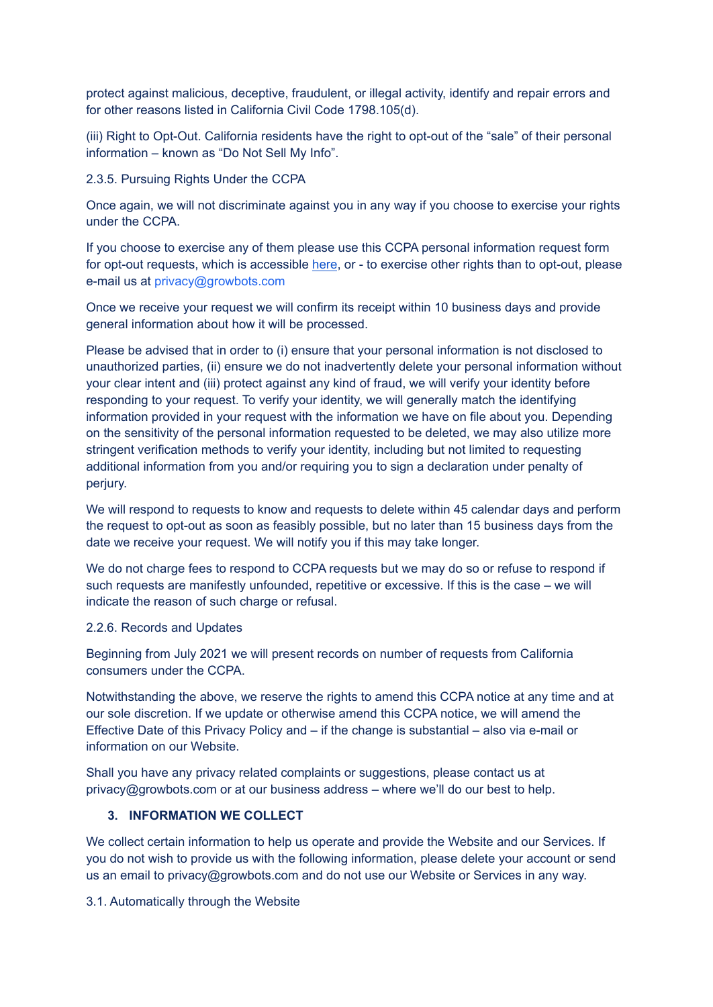protect against malicious, deceptive, fraudulent, or illegal activity, identify and repair errors and for other reasons listed in California Civil Code 1798.105(d).

(iii) Right to Opt-Out. California residents have the right to opt-out of the "sale" of their personal information – known as "Do Not Sell My Info".

#### 2.3.5. Pursuing Rights Under the CCPA

Once again, we will not discriminate against you in any way if you choose to exercise your rights under the CCPA.

If you choose to exercise any of them please use this CCPA personal information request form for opt-out requests, which is accessible [here](https://www.growbots.com/do-not-sell-my-info/), or - to exercise other rights than to opt-out, please e-mail us at privacy@growbots.com

Once we receive your request we will confirm its receipt within 10 business days and provide general information about how it will be processed.

Please be advised that in order to (i) ensure that your personal information is not disclosed to unauthorized parties, (ii) ensure we do not inadvertently delete your personal information without your clear intent and (iii) protect against any kind of fraud, we will verify your identity before responding to your request. To verify your identity, we will generally match the identifying information provided in your request with the information we have on file about you. Depending on the sensitivity of the personal information requested to be deleted, we may also utilize more stringent verification methods to verify your identity, including but not limited to requesting additional information from you and/or requiring you to sign a declaration under penalty of perjury.

We will respond to requests to know and requests to delete within 45 calendar days and perform the request to opt-out as soon as feasibly possible, but no later than 15 business days from the date we receive your request. We will notify you if this may take longer.

We do not charge fees to respond to CCPA requests but we may do so or refuse to respond if such requests are manifestly unfounded, repetitive or excessive. If this is the case – we will indicate the reason of such charge or refusal.

#### 2.2.6. Records and Updates

Beginning from July 2021 we will present records on number of requests from California consumers under the CCPA.

Notwithstanding the above, we reserve the rights to amend this CCPA notice at any time and at our sole discretion. If we update or otherwise amend this CCPA notice, we will amend the Effective Date of this Privacy Policy and – if the change is substantial – also via e-mail or information on our Website.

Shall you have any privacy related complaints or suggestions, please contact us at privacy@growbots.com or at our business address – where we'll do our best to help.

#### **3. INFORMATION WE COLLECT**

We collect certain information to help us operate and provide the Website and our Services. If you do not wish to provide us with the following information, please delete your account or send us an email to privacy@growbots.com and do not use our Website or Services in any way.

3.1. Automatically through the Website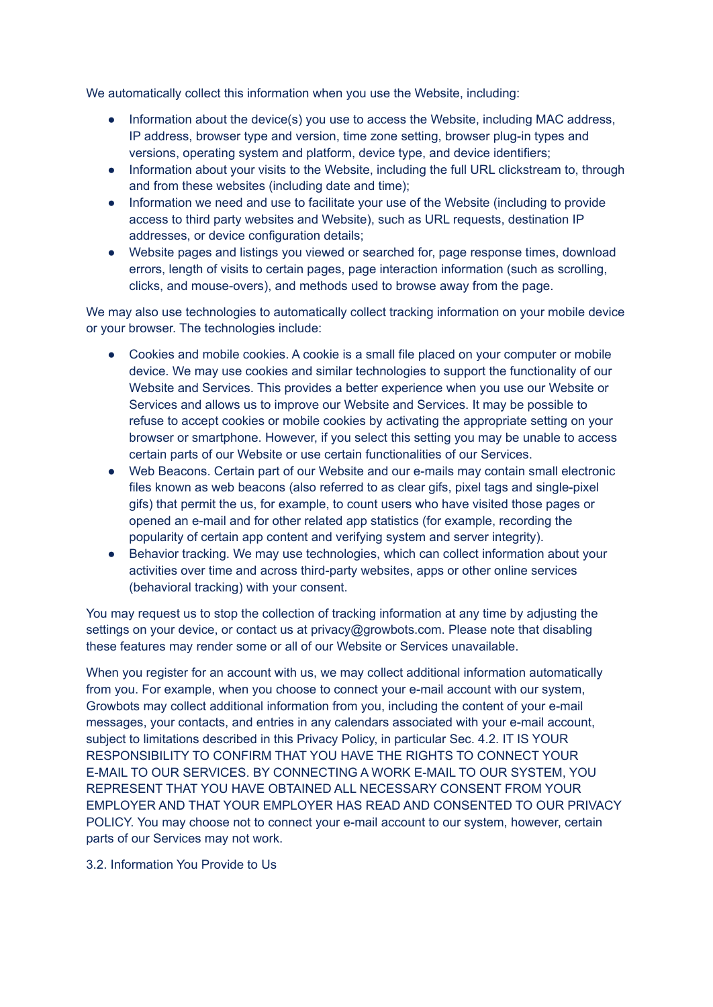We automatically collect this information when you use the Website, including:

- Information about the device(s) you use to access the Website, including MAC address, IP address, browser type and version, time zone setting, browser plug-in types and versions, operating system and platform, device type, and device identifiers;
- Information about your visits to the Website, including the full URL clickstream to, through and from these websites (including date and time);
- Information we need and use to facilitate your use of the Website (including to provide access to third party websites and Website), such as URL requests, destination IP addresses, or device configuration details;
- Website pages and listings you viewed or searched for, page response times, download errors, length of visits to certain pages, page interaction information (such as scrolling, clicks, and mouse-overs), and methods used to browse away from the page.

We may also use technologies to automatically collect tracking information on your mobile device or your browser. The technologies include:

- Cookies and mobile cookies. A cookie is a small file placed on your computer or mobile device. We may use cookies and similar technologies to support the functionality of our Website and Services. This provides a better experience when you use our Website or Services and allows us to improve our Website and Services. It may be possible to refuse to accept cookies or mobile cookies by activating the appropriate setting on your browser or smartphone. However, if you select this setting you may be unable to access certain parts of our Website or use certain functionalities of our Services.
- Web Beacons. Certain part of our Website and our e-mails may contain small electronic files known as web beacons (also referred to as clear gifs, pixel tags and single-pixel gifs) that permit the us, for example, to count users who have visited those pages or opened an e-mail and for other related app statistics (for example, recording the popularity of certain app content and verifying system and server integrity).
- Behavior tracking. We may use technologies, which can collect information about your activities over time and across third-party websites, apps or other online services (behavioral tracking) with your consent.

You may request us to stop the collection of tracking information at any time by adjusting the settings on your device, or contact us at privacy@growbots.com. Please note that disabling these features may render some or all of our Website or Services unavailable.

When you register for an account with us, we may collect additional information automatically from you. For example, when you choose to connect your e-mail account with our system, Growbots may collect additional information from you, including the content of your e-mail messages, your contacts, and entries in any calendars associated with your e-mail account, subject to limitations described in this Privacy Policy, in particular Sec. 4.2. IT IS YOUR RESPONSIBILITY TO CONFIRM THAT YOU HAVE THE RIGHTS TO CONNECT YOUR E-MAIL TO OUR SERVICES. BY CONNECTING A WORK E-MAIL TO OUR SYSTEM, YOU REPRESENT THAT YOU HAVE OBTAINED ALL NECESSARY CONSENT FROM YOUR EMPLOYER AND THAT YOUR EMPLOYER HAS READ AND CONSENTED TO OUR PRIVACY POLICY. You may choose not to connect your e-mail account to our system, however, certain parts of our Services may not work.

#### 3.2. Information You Provide to Us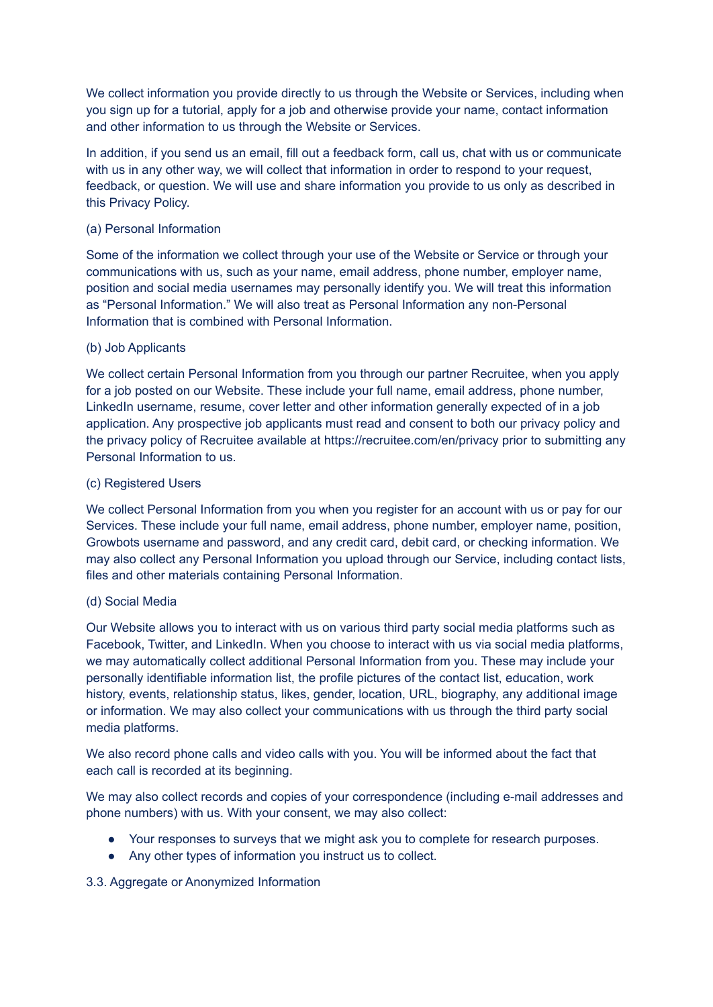We collect information you provide directly to us through the Website or Services, including when you sign up for a tutorial, apply for a job and otherwise provide your name, contact information and other information to us through the Website or Services.

In addition, if you send us an email, fill out a feedback form, call us, chat with us or communicate with us in any other way, we will collect that information in order to respond to your request, feedback, or question. We will use and share information you provide to us only as described in this Privacy Policy.

#### (a) Personal Information

Some of the information we collect through your use of the Website or Service or through your communications with us, such as your name, email address, phone number, employer name, position and social media usernames may personally identify you. We will treat this information as "Personal Information." We will also treat as Personal Information any non-Personal Information that is combined with Personal Information.

#### (b) Job Applicants

We collect certain Personal Information from you through our partner Recruitee, when you apply for a job posted on our Website. These include your full name, email address, phone number, LinkedIn username, resume, cover letter and other information generally expected of in a job application. Any prospective job applicants must read and consent to both our privacy policy and the privacy policy of Recruitee available at https://recruitee.com/en/privacy prior to submitting any Personal Information to us.

#### (c) Registered Users

We collect Personal Information from you when you register for an account with us or pay for our Services. These include your full name, email address, phone number, employer name, position, Growbots username and password, and any credit card, debit card, or checking information. We may also collect any Personal Information you upload through our Service, including contact lists, files and other materials containing Personal Information.

# (d) Social Media

Our Website allows you to interact with us on various third party social media platforms such as Facebook, Twitter, and LinkedIn. When you choose to interact with us via social media platforms, we may automatically collect additional Personal Information from you. These may include your personally identifiable information list, the profile pictures of the contact list, education, work history, events, relationship status, likes, gender, location, URL, biography, any additional image or information. We may also collect your communications with us through the third party social media platforms.

We also record phone calls and video calls with you. You will be informed about the fact that each call is recorded at its beginning.

We may also collect records and copies of your correspondence (including e-mail addresses and phone numbers) with us. With your consent, we may also collect:

- Your responses to surveys that we might ask you to complete for research purposes.
- Any other types of information you instruct us to collect.

# 3.3. Aggregate or Anonymized Information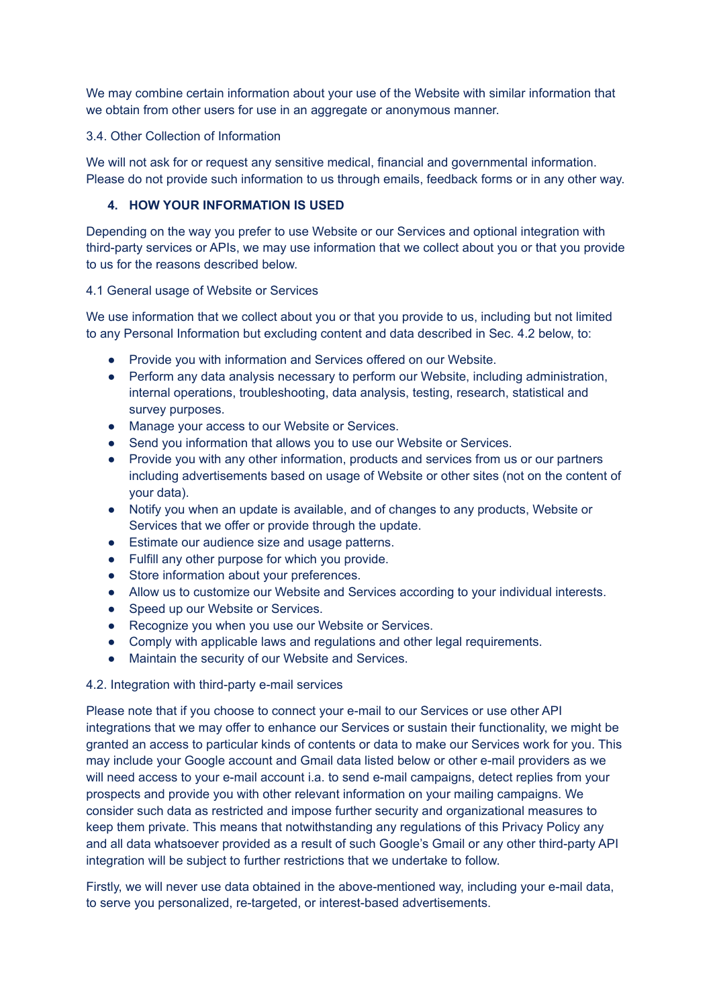We may combine certain information about your use of the Website with similar information that we obtain from other users for use in an aggregate or anonymous manner.

#### 3.4. Other Collection of Information

We will not ask for or request any sensitive medical, financial and governmental information. Please do not provide such information to us through emails, feedback forms or in any other way.

# **4. HOW YOUR INFORMATION IS USED**

Depending on the way you prefer to use Website or our Services and optional integration with third-party services or APIs, we may use information that we collect about you or that you provide to us for the reasons described below.

#### 4.1 General usage of Website or Services

We use information that we collect about you or that you provide to us, including but not limited to any Personal Information but excluding content and data described in Sec. 4.2 below, to:

- Provide you with information and Services offered on our Website.
- Perform any data analysis necessary to perform our Website, including administration, internal operations, troubleshooting, data analysis, testing, research, statistical and survey purposes.
- Manage your access to our Website or Services.
- Send you information that allows you to use our Website or Services.
- Provide you with any other information, products and services from us or our partners including advertisements based on usage of Website or other sites (not on the content of your data).
- Notify you when an update is available, and of changes to any products, Website or Services that we offer or provide through the update.
- Estimate our audience size and usage patterns.
- Fulfill any other purpose for which you provide.
- Store information about your preferences.
- Allow us to customize our Website and Services according to your individual interests.
- Speed up our Website or Services.
- Recognize you when you use our Website or Services.
- Comply with applicable laws and regulations and other legal requirements.
- Maintain the security of our Website and Services.

#### 4.2. Integration with third-party e-mail services

Please note that if you choose to connect your e-mail to our Services or use other API integrations that we may offer to enhance our Services or sustain their functionality, we might be granted an access to particular kinds of contents or data to make our Services work for you. This may include your Google account and Gmail data listed below or other e-mail providers as we will need access to your e-mail account i.a. to send e-mail campaigns, detect replies from your prospects and provide you with other relevant information on your mailing campaigns. We consider such data as restricted and impose further security and organizational measures to keep them private. This means that notwithstanding any regulations of this Privacy Policy any and all data whatsoever provided as a result of such Google's Gmail or any other third-party API integration will be subject to further restrictions that we undertake to follow.

Firstly, we will never use data obtained in the above-mentioned way, including your e-mail data, to serve you personalized, re-targeted, or interest-based advertisements.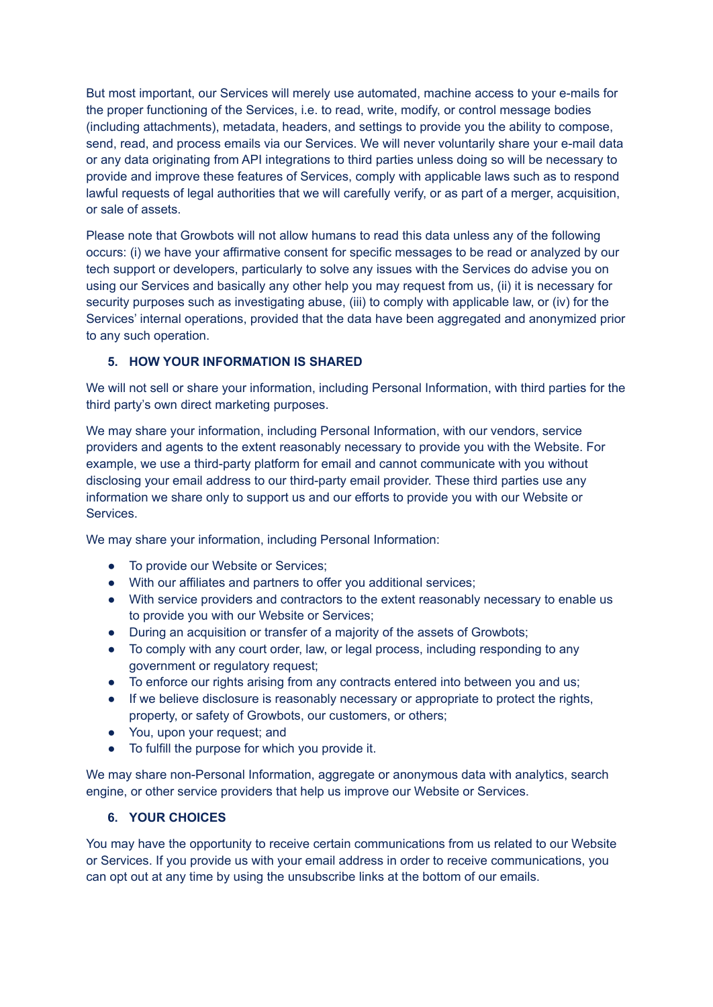But most important, our Services will merely use automated, machine access to your e-mails for the proper functioning of the Services, i.e. to read, write, modify, or control message bodies (including attachments), metadata, headers, and settings to provide you the ability to compose, send, read, and process emails via our Services. We will never voluntarily share your e-mail data or any data originating from API integrations to third parties unless doing so will be necessary to provide and improve these features of Services, comply with applicable laws such as to respond lawful requests of legal authorities that we will carefully verify, or as part of a merger, acquisition, or sale of assets.

Please note that Growbots will not allow humans to read this data unless any of the following occurs: (i) we have your affirmative consent for specific messages to be read or analyzed by our tech support or developers, particularly to solve any issues with the Services do advise you on using our Services and basically any other help you may request from us, (ii) it is necessary for security purposes such as investigating abuse, (iii) to comply with applicable law, or (iv) for the Services' internal operations, provided that the data have been aggregated and anonymized prior to any such operation.

# **5. HOW YOUR INFORMATION IS SHARED**

We will not sell or share your information, including Personal Information, with third parties for the third party's own direct marketing purposes.

We may share your information, including Personal Information, with our vendors, service providers and agents to the extent reasonably necessary to provide you with the Website. For example, we use a third-party platform for email and cannot communicate with you without disclosing your email address to our third-party email provider. These third parties use any information we share only to support us and our efforts to provide you with our Website or Services.

We may share your information, including Personal Information:

- To provide our Website or Services;
- With our affiliates and partners to offer you additional services;
- With service providers and contractors to the extent reasonably necessary to enable us to provide you with our Website or Services;
- During an acquisition or transfer of a majority of the assets of Growbots;
- To comply with any court order, law, or legal process, including responding to any government or regulatory request;
- To enforce our rights arising from any contracts entered into between you and us;
- If we believe disclosure is reasonably necessary or appropriate to protect the rights, property, or safety of Growbots, our customers, or others;
- You, upon your request; and
- To fulfill the purpose for which you provide it.

We may share non-Personal Information, aggregate or anonymous data with analytics, search engine, or other service providers that help us improve our Website or Services.

# **6. YOUR CHOICES**

You may have the opportunity to receive certain communications from us related to our Website or Services. If you provide us with your email address in order to receive communications, you can opt out at any time by using the unsubscribe links at the bottom of our emails.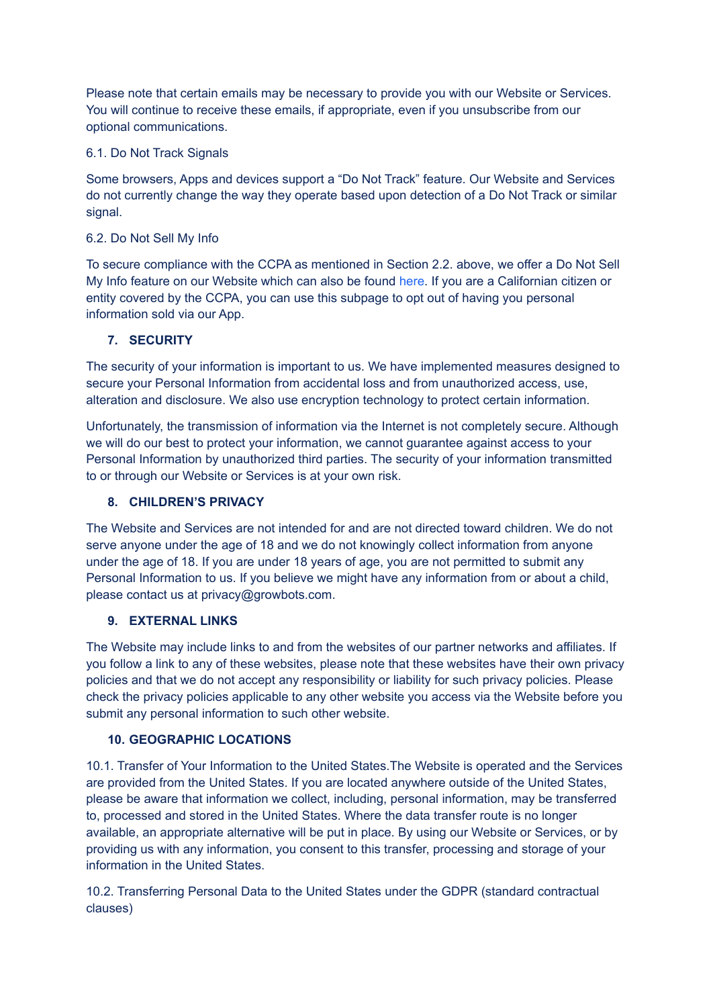Please note that certain emails may be necessary to provide you with our Website or Services. You will continue to receive these emails, if appropriate, even if you unsubscribe from our optional communications.

# 6.1. Do Not Track Signals

Some browsers, Apps and devices support a "Do Not Track" feature. Our Website and Services do not currently change the way they operate based upon detection of a Do Not Track or similar signal.

#### 6.2. Do Not Sell My Info

To secure compliance with the CCPA as mentioned in Section 2.2. above, we offer a Do Not Sell My Info feature on our Website which can also be found [here.](https://www.growbots.com/do-not-sell-my-info/) If you are a Californian citizen or entity covered by the CCPA, you can use this subpage to opt out of having you personal information sold via our App.

# **7. SECURITY**

The security of your information is important to us. We have implemented measures designed to secure your Personal Information from accidental loss and from unauthorized access, use, alteration and disclosure. We also use encryption technology to protect certain information.

Unfortunately, the transmission of information via the Internet is not completely secure. Although we will do our best to protect your information, we cannot guarantee against access to your Personal Information by unauthorized third parties. The security of your information transmitted to or through our Website or Services is at your own risk.

#### **8. CHILDREN'S PRIVACY**

The Website and Services are not intended for and are not directed toward children. We do not serve anyone under the age of 18 and we do not knowingly collect information from anyone under the age of 18. If you are under 18 years of age, you are not permitted to submit any Personal Information to us. If you believe we might have any information from or about a child, please contact us at privacy@growbots.com.

# **9. EXTERNAL LINKS**

The Website may include links to and from the websites of our partner networks and affiliates. If you follow a link to any of these websites, please note that these websites have their own privacy policies and that we do not accept any responsibility or liability for such privacy policies. Please check the privacy policies applicable to any other website you access via the Website before you submit any personal information to such other website.

# **10. GEOGRAPHIC LOCATIONS**

10.1. Transfer of Your Information to the United States.The Website is operated and the Services are provided from the United States. If you are located anywhere outside of the United States, please be aware that information we collect, including, personal information, may be transferred to, processed and stored in the United States. Where the data transfer route is no longer available, an appropriate alternative will be put in place. By using our Website or Services, or by providing us with any information, you consent to this transfer, processing and storage of your information in the United States.

10.2. Transferring Personal Data to the United States under the GDPR (standard contractual clauses)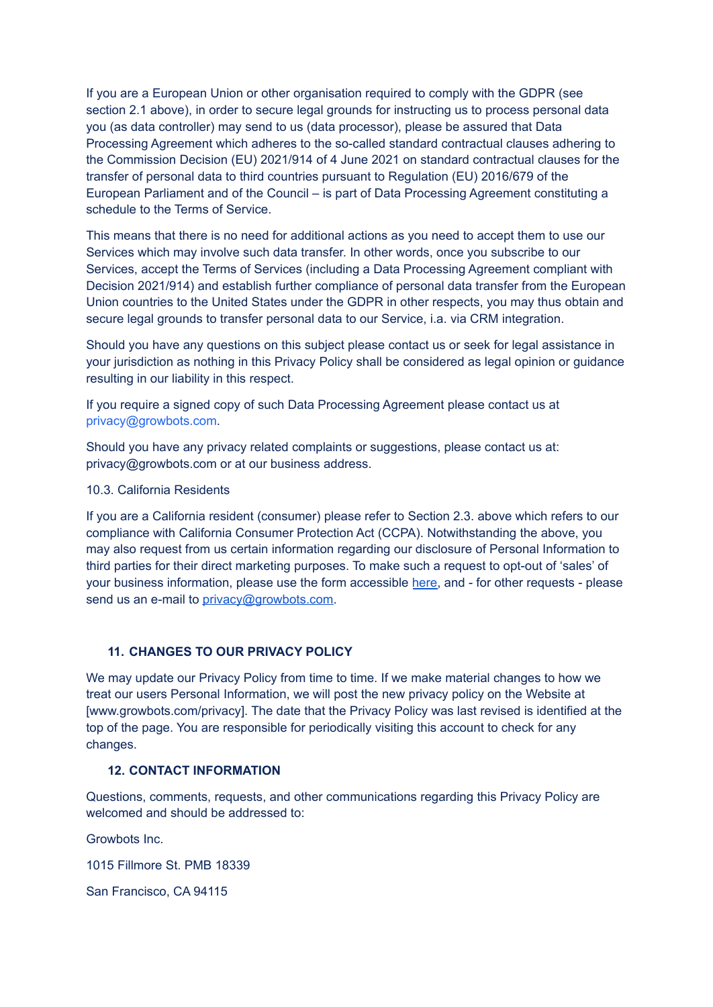If you are a European Union or other organisation required to comply with the GDPR (see section 2.1 above), in order to secure legal grounds for instructing us to process personal data you (as data controller) may send to us (data processor), please be assured that Data Processing Agreement which adheres to the so-called standard contractual clauses adhering to the Commission Decision (EU) 2021/914 of 4 June 2021 on standard contractual clauses for the transfer of personal data to third countries pursuant to Regulation (EU) 2016/679 of the European Parliament and of the Council – is part of Data Processing Agreement constituting a schedule to the Terms of Service.

This means that there is no need for additional actions as you need to accept them to use our Services which may involve such data transfer. In other words, once you subscribe to our Services, accept the Terms of Services (including a Data Processing Agreement compliant with Decision 2021/914) and establish further compliance of personal data transfer from the European Union countries to the United States under the GDPR in other respects, you may thus obtain and secure legal grounds to transfer personal data to our Service, i.a. via CRM integration.

Should you have any questions on this subject please contact us or seek for legal assistance in your jurisdiction as nothing in this Privacy Policy shall be considered as legal opinion or guidance resulting in our liability in this respect.

If you require a signed copy of such Data Processing Agreement please contact us at privacy@growbots.com.

Should you have any privacy related complaints or suggestions, please contact us at: privacy@growbots.com or at our business address.

10.3. California Residents

If you are a California resident (consumer) please refer to Section 2.3. above which refers to our compliance with California Consumer Protection Act (CCPA). Notwithstanding the above, you may also request from us certain information regarding our disclosure of Personal Information to third parties for their direct marketing purposes. To make such a request to opt-out of 'sales' of your business information, please use the form accessible [here,](https://www.growbots.com/do-not-sell-my-info/) and - for other requests - please send us an e-mail to [privacy@growbots.com.](mailto:privacy@growbots.com)

#### **11. CHANGES TO OUR PRIVACY POLICY**

We may update our Privacy Policy from time to time. If we make material changes to how we treat our users Personal Information, we will post the new privacy policy on the Website at [www.growbots.com/privacy]. The date that the Privacy Policy was last revised is identified at the top of the page. You are responsible for periodically visiting this account to check for any changes.

#### **12. CONTACT INFORMATION**

Questions, comments, requests, and other communications regarding this Privacy Policy are welcomed and should be addressed to:

Growbots Inc.

1015 Fillmore St. PMB 18339

San Francisco, CA 94115